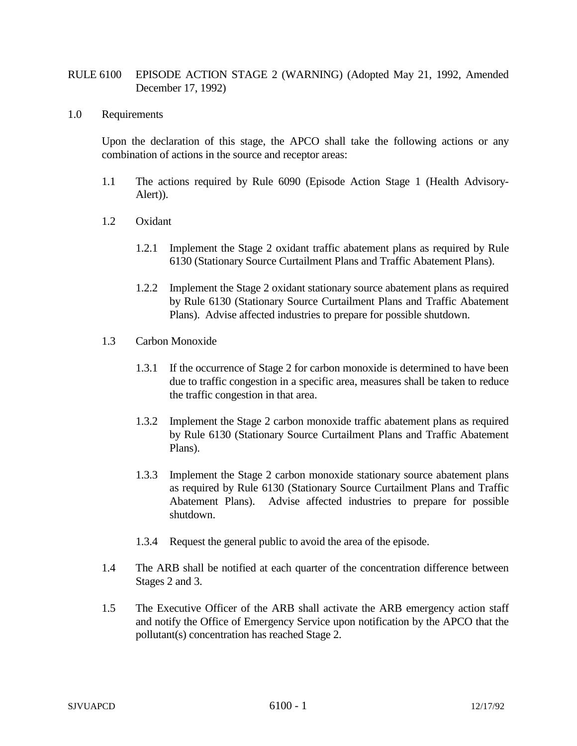## RULE 6100 EPISODE ACTION STAGE 2 (WARNING) (Adopted May 21, 1992, Amended December 17, 1992)

## 1.0 Requirements

Upon the declaration of this stage, the APCO shall take the following actions or any combination of actions in the source and receptor areas:

- 1.1 The actions required by Rule 6090 (Episode Action Stage 1 (Health Advisory-Alert)).
- 1.2 Oxidant
	- 1.2.1 Implement the Stage 2 oxidant traffic abatement plans as required by Rule 6130 (Stationary Source Curtailment Plans and Traffic Abatement Plans).
	- 1.2.2 Implement the Stage 2 oxidant stationary source abatement plans as required by Rule 6130 (Stationary Source Curtailment Plans and Traffic Abatement Plans). Advise affected industries to prepare for possible shutdown.
- 1.3 Carbon Monoxide
	- 1.3.1 If the occurrence of Stage 2 for carbon monoxide is determined to have been due to traffic congestion in a specific area, measures shall be taken to reduce the traffic congestion in that area.
	- 1.3.2 Implement the Stage 2 carbon monoxide traffic abatement plans as required by Rule 6130 (Stationary Source Curtailment Plans and Traffic Abatement Plans).
	- 1.3.3 Implement the Stage 2 carbon monoxide stationary source abatement plans as required by Rule 6130 (Stationary Source Curtailment Plans and Traffic Abatement Plans). Advise affected industries to prepare for possible shutdown.
	- 1.3.4 Request the general public to avoid the area of the episode.
- 1.4 The ARB shall be notified at each quarter of the concentration difference between Stages 2 and 3.
- 1.5 The Executive Officer of the ARB shall activate the ARB emergency action staff and notify the Office of Emergency Service upon notification by the APCO that the pollutant(s) concentration has reached Stage 2.